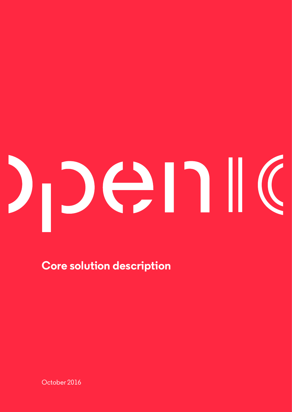# Den  $\left($

**Core solution description**

October 2016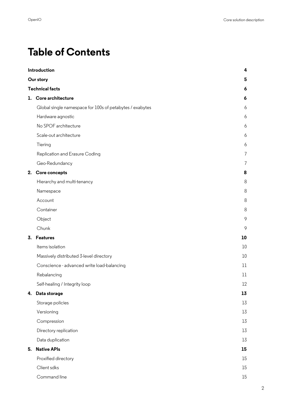## **Table of Contents**

| Introduction<br>Our story |                                                          | 4  |
|---------------------------|----------------------------------------------------------|----|
|                           |                                                          | 5  |
| <b>Technical facts</b>    |                                                          |    |
|                           | 1. Core architecture                                     | 6  |
|                           | Global single namespace for 100s of petabytes / exabytes | 6  |
|                           | Hardware agnostic                                        | 6  |
|                           | No SPOF architecture                                     | 6  |
|                           | Scale-out architecture                                   | 6  |
|                           | Tiering                                                  | 6  |
|                           | Replication and Erasure Coding                           | 7  |
|                           | Geo-Redundancy                                           | 7  |
| 2.                        | Core concepts                                            | 8  |
|                           | Hierarchy and multi-tenancy                              | 8  |
|                           | Namespace                                                | 8  |
|                           | Account                                                  | 8  |
|                           | Container                                                | 8  |
|                           | Object                                                   | 9  |
|                           | Chunk                                                    | 9  |
| 3.                        | <b>Features</b>                                          | 10 |
|                           | Items isolation                                          | 10 |
|                           | Massively distributed 3-level directory                  | 10 |
|                           | Conscience - advanced write load-balancing               | 11 |
|                           | Rebalancing                                              | 11 |
|                           | Self-healing / Integrity loop                            | 12 |
| 4.                        | Data storage                                             | 13 |
|                           | Storage policies                                         | 13 |
|                           | Versioning                                               | 13 |
|                           | Compression                                              | 13 |
|                           | Directory replication                                    | 13 |
|                           | Data duplication                                         | 13 |
| 5.                        | <b>Native APIs</b>                                       | 15 |
|                           | Proxified directory                                      | 15 |
|                           | Client sdks                                              | 15 |
|                           | Command line                                             | 15 |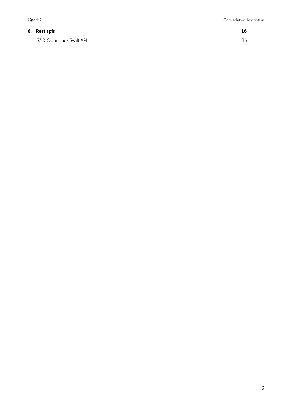#### **6. Rest apis 16**

S3 & Openstack Swift API 16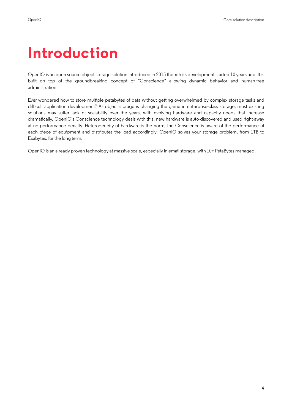## **Introduction**

OpenIO is an open source object storage solution introduced in 2015 though its development started 10 years ago. It is built on top of the groundbreaking concept of "Conscience" allowing dynamic behavior and human-free administration.

Ever wondered how to store multiple petabytes of data without getting overwhelmed by complex storage tasks and difficult application development? As object storage is changing the game in enterprise-class storage, most existing solutions may suffer lack of scalability over the years, with evolving hardware and capacity needs that increase dramatically. OpenIO's Conscience technology deals with this, new hardware is auto-discovered and used right-away at no performance penalty. Heterogeneity of hardware is the norm, the Conscience is aware of the performance of each piece of equipment and distributes the load accordingly. OpenIO solves your storage problem, from 1TB to Exabytes, for the long term.

OpenIO is an already proven technology at massive scale, especially in email storage, with 10+ PetaBytes managed.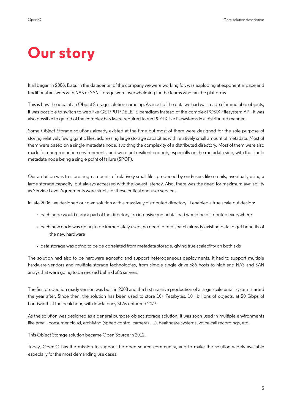## **Our story**

It all began in 2006. Data, in the datacenter of the company we were working for, was exploding at exponential pace and traditional answers with NAS or SAN storage were overwhelming for the teams who ran the platforms.

This is how the idea of an Object Storage solution came up. As most of the data we had was made of immutable objects, it was possible to switch to web-like GET/PUT/DELETE paradigm instead of the complex POSIX Filesystem API. It was also possible to get rid of the complex hardware required to run POSIX-like flesystems in a distributed manner.

Some Object Storage solutions already existed at the time but most of them were designed for the sole purpose of storing relatively few gigantic fles, addressing large storage capacities with relatively small amount of metadata. Most of them were based on a single metadata node, avoiding the complexity of a distributed directory. Most of them were also made for non-production environments, and were not resilient enough, especially on the metadata side, with the single metadata node being a single point of failure (SPOF).

Our ambition was to store huge amounts of relatively small fles produced by end-users like emails, eventually using a large storage capacity, but always accessed with the lowest latency. Also, there was the need for maximum availability as Service Level Agreements were stricts for these critical end-user services.

In late 2006, we designed our own solution with a massively distributed directory. It enabled a true scale-out design:

- each node would carry a part of the directory, i/o intensive metadata load would be distributed everywhere
- each new node was going to be immediately used, no need to re-dispatch already existing data to get benefts of the new hardware
- data storage was going to be de-correlated from metadata storage, giving true scalability on both axis

The solution had also to be hardware agnostic and support heterogeneous deployments. It had to support multiple hardware vendors and multiple storage technologies, from simple single drive x86 hosts to high-end NAS and SAN arrays that were going to be re-used behind x86 servers.

The frst production ready version was built in 2008 and the frst massive production of a large scale email system started the year after. Since then, the solution has been used to store 10+ Petabytes, 10+ billions of objects, at 20 Gbps of bandwidth at the peak hour, with low-latency SLAs enforced 24/7.

As the solution was designed as a general purpose object storage solution, it was soon used in multiple environments like email, consumer cloud, archiving (speed control cameras, ...), healthcare systems, voice call recordings, etc.

This Object Storage solution became Open Source in 2012.

Today, OpenIO has the mission to support the open source community, and to make the solution widely available especially for the most demanding use cases.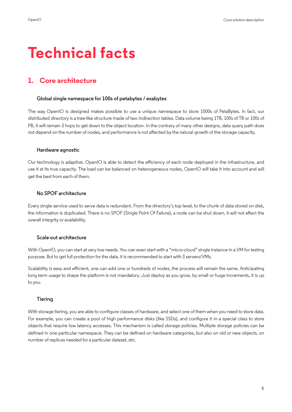## **Technical facts**

### **1. Core architecture**

#### **Global single namespace for 100s of petabytes / exabytes**

The way OpenIO is designed makes possible to use a unique namespace to store 1000s of PetaBytes. In fact, our distributed directory is a tree-like structure made of two indirection tables. Data volume being 1TB, 100s of TB or 100s of PB, it will remain 3 hops to get down to the object location. In the contrary of many other designs, data query path does not depend on the number of nodes, and performance is not affected by the natural growth of the storage capacity.

#### **Hardware agnostic**

Our technology is adaptive. OpenIO is able to detect the efficiency of each node deployed in the infrastructure, and use it at its true capacity. The load can be balanced on heterogeneous nodes, OpenIO will take it into account and will get the best from each of them.

#### **No SPOF architecture**

Every single service used to serve data is redundant. From the directory's top level, to the chunk of data stored on disk, the information is duplicated. There is no SPOF (Single Point Of Failure), a node can be shut down, it will not affect the overall integrity or availability.

#### **Scale-out architecture**

With OpenIO, you can start at very low needs. You can even start with a "micro-cloud" single instance in a VM for testing purpose. But to get full protection for the data, it is recommended to start with 3 servers/VMs.

Scalability is easy and efficient, one can add one or hundreds of nodes, the process will remain the same. Anticipating long term usage to shape the platform is not mandatory. Just deploy as you grow, by small or huge increments, it is up to you.

#### **Tiering**

With storage tiering, you are able to confgure classes of hardware, and select one of them when you need to store data. For example, you can create a pool of high performance disks (like SSDs), and confgure it in a special class to store objects that require low latency accesses. This mechanism is called storage policies. Multiple storage policies can be defned in one particular namespace. They can be defned on hardware categories, but also on old or new objects, on number of replicas needed for a particular dataset, etc.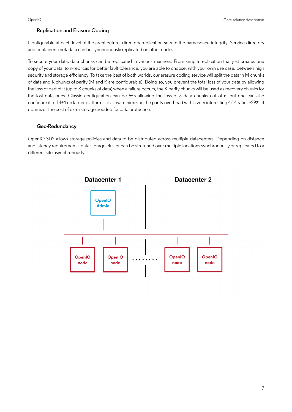#### **Replication and Erasure Coding**

Confgurable at each level of the architecture, directory replication secure the namespace integrity. Service directory and containers metadata can be synchronously replicated on other nodes.

To secure your data, data chunks can be replicated in various manners. From simple replication that just creates one copy of your data, to n-replicas for better fault tolerance, you are able to choose, with your own use case, between high security and storage efficiency. To take the best of both worlds, our erasure coding service will split the data in M chunks of data and K chunks of parity (M and K are confgurable). Doing so, you prevent the total loss of your data by allowing the loss of part of it (up to K chunks of data) when a failure occurs, the K parity chunks will be used as recovery chunks for the lost data ones. Classic confguration can be 6+3 allowing the loss of 3 data chunks out of 6, but one can also configure it to 14+4 on larger platforms to allow minimizing the parity overhead with a very interesting 4:14 ratio, ~29%. It optimizes the cost of extra storage needed for data protection.

#### **Geo-Redundancy**

OpenIO SDS allows storage policies and data to be distributed across multiple datacenters. Depending on distance and latency requirements, data storage cluster can be stretched over multiple locations synchronously or replicated to a different site asynchronously.

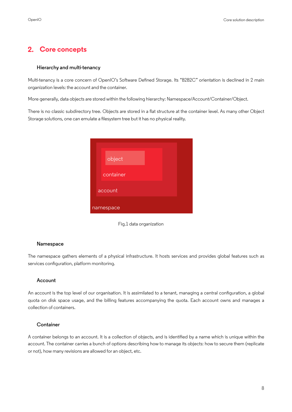#### **2. Core concepts**

#### **Hierarchy and multi-tenancy**

Multi-tenancy is a core concern of OpenIO's Software Defned Storage. Its "B2B2C" orientation is declined in 2 main organization levels: the account and the container.

More generally, data objects are stored within the following hierarchy: Namespace/Account/Container/Object.

There is no classic subdirectory tree. Objects are stored in a flat structure at the container level. As many other Object Storage solutions, one can emulate a flesystem tree but it has no physical reality.

| object    |  |
|-----------|--|
| container |  |
| account   |  |
| namespace |  |



#### **Namespace**

The namespace gathers elements of a physical infrastructure. It hosts services and provides global features such as services configuration, platform monitoring.

#### **Account**

An account is the top level of our organisation. It is assimilated to a tenant, managing a central configuration, a global quota on disk space usage, and the billing features accompanying the quota. Each account owns and manages a collection of containers.

#### **Container**

A container belongs to an account. It is a collection of objects, and is identifed by a name which is unique within the account. The container carries a bunch of options describing how to manage its objects: how to secure them (replicate or not), how many revisions are allowed for an object, etc.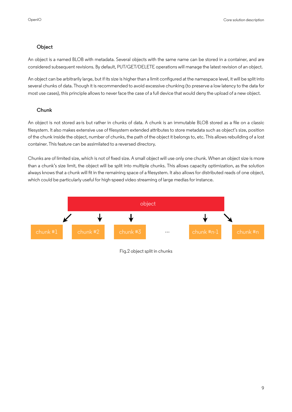#### **Object**

An object is a named BLOB with metadata. Several objects with the same name can be stored in a container, and are considered subsequent revisions. By default, PUT/GET/DELETE operations will manage the latest revision of an object.

An object can be arbitrarily large, but if its size is higher than a limit confgured at the namespace level, it will be split into several chunks of data. Though it is recommended to avoid excessive chunking (to preserve a low latency to the data for most use cases), this principle allows to never face the case of a full device that would deny the upload of a new object.

#### **Chunk**

An object is not stored as-is but rather in chunks of data. A chunk is an immutable BLOB stored as a fle on a classic flesystem. It also makes extensive use of flesystem extended attributes to store metadata such as object's size, position of the chunk inside the object, number of chunks, the path of the object it belongs to, etc. This allows rebuilding of a lost container. This feature can be assimilated to a reversed directory.

Chunks are of limited size, which is not of fxed size. A small object will use only one chunk. When an object size is more than a chunk's size limit, the object will be split into multiple chunks. This allows capacity optimization, as the solution always knows that a chunk will fit in the remaining space of a filesystem. It also allows for distributed reads of one object, which could be particularly useful for high-speed video streaming of large medias for instance.



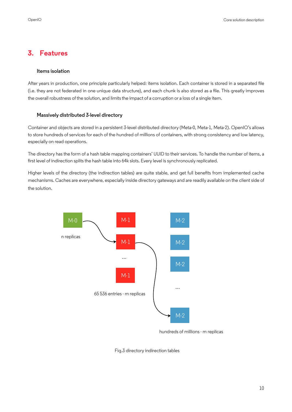#### **3. Features**

#### **Items isolation**

After years in production, one principle particularly helped: items isolation. Each container is stored in a separated fle (i.e. they are not federated in one unique data structure), and each chunk is also stored as a fle. This greatly improves the overall robustness of the solution, and limits the impact of a corruption or a loss of a single item.

#### **Massively distributed 3-level directory**

Container and objects are stored in a persistent 3-level distributed directory (Meta-0, Meta-1, Meta-2). OpenIO's allows to store hundreds of services for each of the hundred of millions of containers, with strong consistency and low latency, especially on read operations.

The directory has the form of a hash table mapping containers' UUID to their services. To handle the number of items, a first level of indirection splits the hash table into 64k slots. Every level is synchronously replicated.

Higher levels of the directory (the indirection tables) are quite stable, and get full benefts from implemented cache mechanisms. Caches are everywhere, especially inside directory gateways and are readily available on the client side of the solution.



hundreds of millions - m replicas

Fig.3 directory indirection tables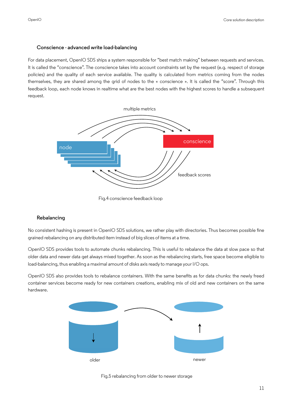#### **Conscience - advanced write load-balancing**

For data placement, OpenIO SDS ships a system responsible for "best match making" between requests and services. It is called the "conscience". The conscience takes into account constraints set by the request (e.g. respect of storage policies) and the quality of each service available. The quality is calculated from metrics coming from the nodes themselves, they are shared among the grid of nodes to the « conscience ». It is called the "score". Through this feedback loop, each node knows in realtime what are the best nodes with the highest scores to handle a subsequent request.



Fig.4 conscience feedback loop

#### **Rebalancing**

No consistent hashing is present in OpenIO SDS solutions, we rather play with directories. Thus becomes possible fne grained rebalancing on any distributed item instead of big slices of items at a time.

OpenIO SDS provides tools to automate chunks rebalancing. This is useful to rebalance the data at slow pace so that older data and newer data get always mixed together. As soon as the rebalancing starts, free space become eligible to load-balancing, thus enabling a maximal amount of disks axis ready to manage your I/O ops.

OpenIO SDS also provides tools to rebalance containers. With the same benefts as for data chunks: the newly freed container services become ready for new containers creations, enabling mix of old and new containers on the same hardware.



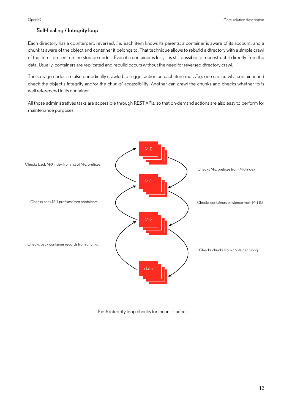#### **Self-healing / Integrity loop**

Each directory has a counterpart, reversed. *I.e.* each item knows its parents: a container is aware of its account, and a chunk is aware of the object and container it belongs to. That technique allows to rebuild a directory with a simple crawl of the items present on the storage nodes. Even if a container is lost, it is still possible to reconstruct it directly from the data. Usually, containers are replicated and rebuild occurs without the need for reversed directory crawl.

The storage nodes are also periodically crawled to trigger action on each item met. *E.g.* one can crawl a container and check the object's integrity and/or the chunks' accessibility. Another can crawl the chunks and checks whether its is well referenced in its container.

All those administratives tasks are accessible through REST APIs, so that on-demand actions are also easy to perform for maintenance purposes.



Fig.6 integrity loop checks for inconsistances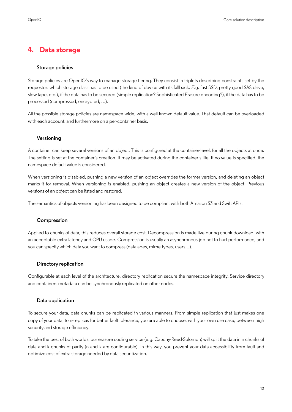#### **4. Data storage**

#### **Storage policies**

Storage policies are OpenIO's way to manage storage tiering. They consist in triplets describing constraints set by the requestor: which storage class has to be used (the kind of device with its fallback. *E.g.* fast SSD, pretty good SAS drive, slow tape, etc.), if the data has to be secured (simple replication? Sophisticated Erasure encoding?), if the data has to be processed (compressed, encrypted, …).

All the possible storage policies are namespace-wide, with a well-known default value. That default can be overloaded with each account, and furthermore on a per-container basis.

#### **Versioning**

A container can keep several versions of an object. This is confgured at the container-level, for all the objects at once. The setting is set at the container's creation. It may be activated during the container's life. If no value is specifed, the namespace default value is considered.

When versioning is disabled, pushing a new version of an object overrides the former version, and deleting an object marks it for removal. When versioning is enabled, pushing an object creates a new version of the object. Previous versions of an object can be listed and restored.

The semantics of objects versioning has been designed to be compliant with both Amazon S3 and Swift APIs.

#### **Compression**

Applied to chunks of data, this reduces overall storage cost. Decompression is made live during chunk download, with an acceptable extra latency and CPU usage. Compression is usually an asynchronous job not to hurt performance, and you can specify which data you want to compress (data ages, mime-types, users…).

#### **Directory replication**

Confgurable at each level of the architecture, directory replication secure the namespace integrity. Service directory and containers metadata can be synchronously replicated on other nodes.

#### **Data duplication**

To secure your data, data chunks can be replicated in various manners. From simple replication that just makes one copy of your data, to n-replicas for better fault tolerance, you are able to choose, with your own use case, between high security and storage efficiency.

To take the best of both worlds, our erasure coding service (e.g. Cauchy-Reed-Solomon) will split the data in n chunks of data and k chunks of parity (n and k are confgurable). In this way, you prevent your data accessibility from fault and optimize cost of extra storage needed by data securitization.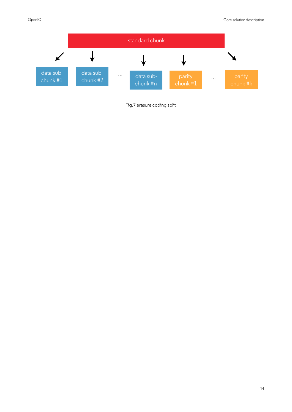

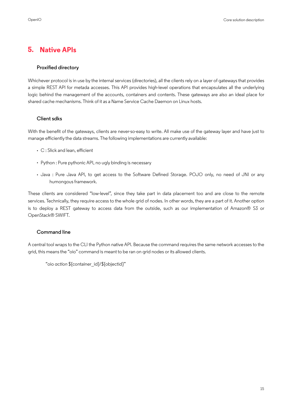#### **5. Native APIs**

#### **Proxifed directory**

Whichever protocol is in use by the internal services (directories), all the clients rely on a layer of gateways that provides a simple REST API for metada accesses. This API provides high-level operations that encapsulates all the underlying logic behind the management of the accounts, containers and contents. These gateways are also an ideal place for shared cache mechanisms. Think of it as a Name Service Cache Daemon on Linux hosts.

#### **Client sdks**

With the benefit of the gateways, clients are never-so-easy to write. All make use of the gateway layer and have just to manage efficiently the data streams. The following implementations are currently available:

- C : Slick and lean, efficient
- Python : Pure pythonic API, no ugly binding is necessary
- Java : Pure Java API, to get access to the Software Defned Storage. POJO only, no need of JNI or any humongous framework.

These clients are considered "low-level", since they take part in data placement too and are close to the remote services. Technically, they require access to the whole grid of nodes. In other words, they are a part of it. Another option is to deploy a REST gateway to access data from the outside, such as our implementation of Amazon® S3 or OpenStack® SWIFT.

#### **Command line**

A central tool wraps to the CLI the Python native API. Because the command requires the same network accesses to the grid, this means the "oio" command is meant to be ran on grid nodes or its allowed clients.

"oio *action* \${container\_id}/\${objectid}"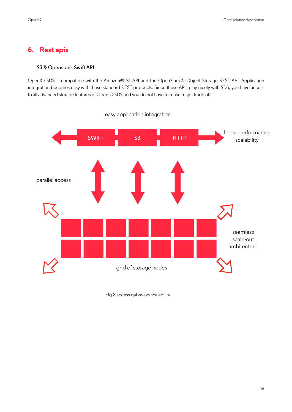#### **6. Rest apis**

#### **S3 & Openstack Swift API**

OpenIO SDS is compatible with the Amazon® S3 API and the OpenStack® Object Storage REST API. Application integration becomes easy with these standard REST protocols. Since these APIs play nicely with SDS, you have access to all advanced storage features of OpenIO SDS and you do not have to make major trade offs.



Fig.8 access gateways scalability